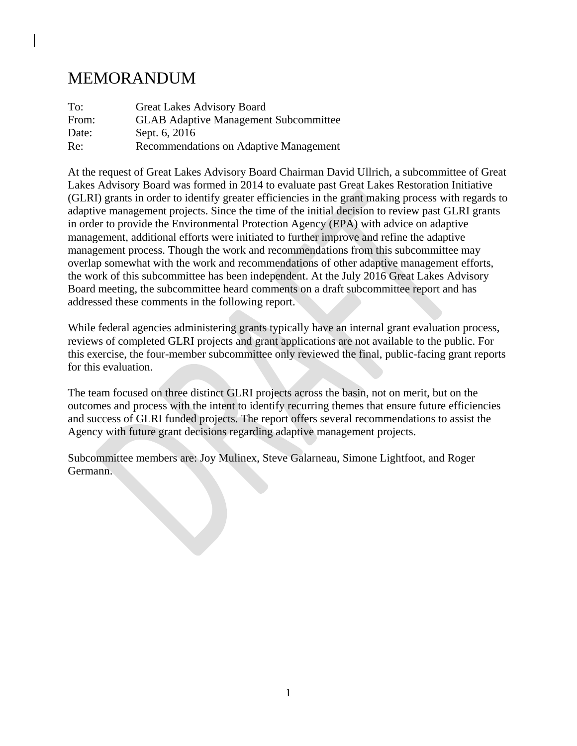# MEMORANDUM

| To:   | Great Lakes Advisory Board                   |
|-------|----------------------------------------------|
| From: | <b>GLAB Adaptive Management Subcommittee</b> |
| Date: | Sept. 6, 2016                                |
| Re:   | Recommendations on Adaptive Management       |

At the request of Great Lakes Advisory Board Chairman David Ullrich, a subcommittee of Great Lakes Advisory Board was formed in 2014 to evaluate past Great Lakes Restoration Initiative (GLRI) grants in order to identify greater efficiencies in the grant making process with regards to adaptive management projects. Since the time of the initial decision to review past GLRI grants in order to provide the Environmental Protection Agency (EPA) with advice on adaptive management, additional efforts were initiated to further improve and refine the adaptive management process. Though the work and recommendations from this subcommittee may overlap somewhat with the work and recommendations of other adaptive management efforts, the work of this subcommittee has been independent. At the July 2016 Great Lakes Advisory Board meeting, the subcommittee heard comments on a draft subcommittee report and has addressed these comments in the following report.

While federal agencies administering grants typically have an internal grant evaluation process, reviews of completed GLRI projects and grant applications are not available to the public. For this exercise, the four-member subcommittee only reviewed the final, public-facing grant reports for this evaluation.

The team focused on three distinct GLRI projects across the basin, not on merit, but on the outcomes and process with the intent to identify recurring themes that ensure future efficiencies and success of GLRI funded projects. The report offers several recommendations to assist the Agency with future grant decisions regarding adaptive management projects.

Subcommittee members are: Joy Mulinex, Steve Galarneau, Simone Lightfoot, and Roger Germann.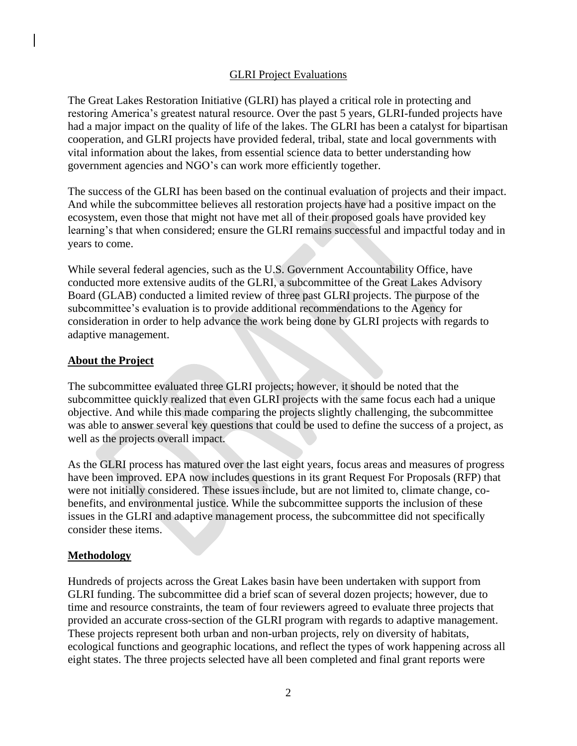#### GLRI Project Evaluations

The Great Lakes Restoration Initiative (GLRI) has played a critical role in protecting and restoring America's greatest natural resource. Over the past 5 years, GLRI-funded projects have had a major impact on the quality of life of the lakes. The GLRI has been a catalyst for bipartisan cooperation, and GLRI projects have provided federal, tribal, state and local governments with vital information about the lakes, from essential science data to better understanding how government agencies and NGO's can work more efficiently together.

The success of the GLRI has been based on the continual evaluation of projects and their impact. And while the subcommittee believes all restoration projects have had a positive impact on the ecosystem, even those that might not have met all of their proposed goals have provided key learning's that when considered; ensure the GLRI remains successful and impactful today and in years to come.

While several federal agencies, such as the U.S. Government Accountability Office, have conducted more extensive audits of the GLRI, a subcommittee of the Great Lakes Advisory Board (GLAB) conducted a limited review of three past GLRI projects. The purpose of the subcommittee's evaluation is to provide additional recommendations to the Agency for consideration in order to help advance the work being done by GLRI projects with regards to adaptive management.

#### **About the Project**

The subcommittee evaluated three GLRI projects; however, it should be noted that the subcommittee quickly realized that even GLRI projects with the same focus each had a unique objective. And while this made comparing the projects slightly challenging, the subcommittee was able to answer several key questions that could be used to define the success of a project, as well as the projects overall impact.

As the GLRI process has matured over the last eight years, focus areas and measures of progress have been improved. EPA now includes questions in its grant Request For Proposals (RFP) that were not initially considered. These issues include, but are not limited to, climate change, cobenefits, and environmental justice. While the subcommittee supports the inclusion of these issues in the GLRI and adaptive management process, the subcommittee did not specifically consider these items.

## **Methodology**

Hundreds of projects across the Great Lakes basin have been undertaken with support from GLRI funding. The subcommittee did a brief scan of several dozen projects; however, due to time and resource constraints, the team of four reviewers agreed to evaluate three projects that provided an accurate cross-section of the GLRI program with regards to adaptive management. These projects represent both urban and non-urban projects, rely on diversity of habitats, ecological functions and geographic locations, and reflect the types of work happening across all eight states. The three projects selected have all been completed and final grant reports were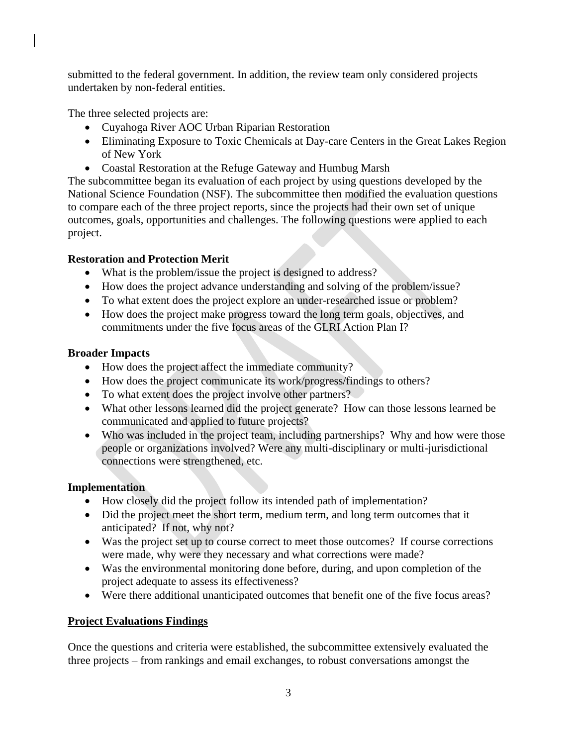submitted to the federal government. In addition, the review team only considered projects undertaken by non-federal entities.

The three selected projects are:

- Cuyahoga River AOC Urban Riparian Restoration
- Eliminating Exposure to Toxic Chemicals at Day-care Centers in the Great Lakes Region of New York
- Coastal Restoration at the Refuge Gateway and Humbug Marsh

The subcommittee began its evaluation of each project by using questions developed by the National Science Foundation (NSF). The subcommittee then modified the evaluation questions to compare each of the three project reports, since the projects had their own set of unique outcomes, goals, opportunities and challenges. The following questions were applied to each project.

# **Restoration and Protection Merit**

- What is the problem/issue the project is designed to address?
- How does the project advance understanding and solving of the problem/issue?
- To what extent does the project explore an under-researched issue or problem?
- How does the project make progress toward the long term goals, objectives, and commitments under the five focus areas of the GLRI Action Plan I?

# **Broader Impacts**

- How does the project affect the immediate community?
- How does the project communicate its work/progress/findings to others?
- To what extent does the project involve other partners?
- What other lessons learned did the project generate? How can those lessons learned be communicated and applied to future projects?
- Who was included in the project team, including partnerships? Why and how were those people or organizations involved? Were any multi-disciplinary or multi-jurisdictional connections were strengthened, etc.

# **Implementation**

- How closely did the project follow its intended path of implementation?
- Did the project meet the short term, medium term, and long term outcomes that it anticipated? If not, why not?
- Was the project set up to course correct to meet those outcomes? If course corrections were made, why were they necessary and what corrections were made?
- Was the environmental monitoring done before, during, and upon completion of the project adequate to assess its effectiveness?
- Were there additional unanticipated outcomes that benefit one of the five focus areas?

## **Project Evaluations Findings**

Once the questions and criteria were established, the subcommittee extensively evaluated the three projects – from rankings and email exchanges, to robust conversations amongst the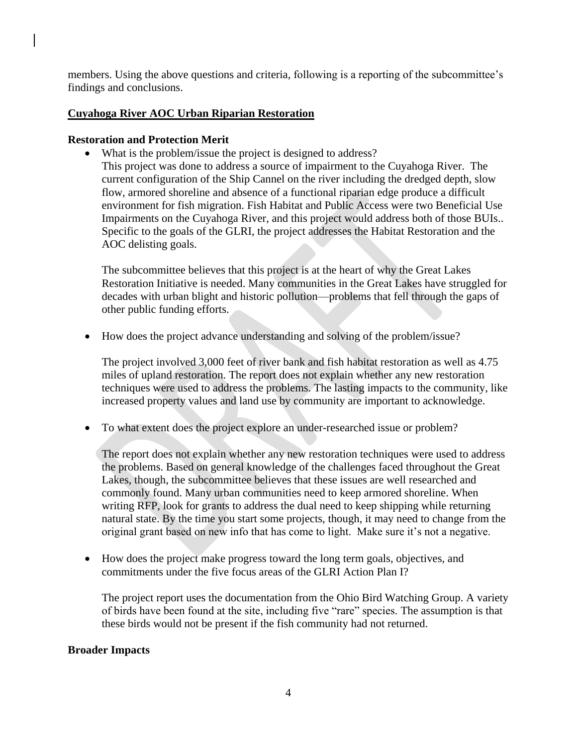members. Using the above questions and criteria, following is a reporting of the subcommittee's findings and conclusions.

#### **Cuyahoga River AOC Urban Riparian Restoration**

#### **Restoration and Protection Merit**

• What is the problem/issue the project is designed to address?

This project was done to address a source of impairment to the Cuyahoga River. The current configuration of the Ship Cannel on the river including the dredged depth, slow flow, armored shoreline and absence of a functional riparian edge produce a difficult environment for fish migration. Fish Habitat and Public Access were two Beneficial Use Impairments on the Cuyahoga River, and this project would address both of those BUIs.. Specific to the goals of the GLRI, the project addresses the Habitat Restoration and the AOC delisting goals.

The subcommittee believes that this project is at the heart of why the Great Lakes Restoration Initiative is needed. Many communities in the Great Lakes have struggled for decades with urban blight and historic pollution—problems that fell through the gaps of other public funding efforts.

How does the project advance understanding and solving of the problem/issue?

The project involved 3,000 feet of river bank and fish habitat restoration as well as 4.75 miles of upland restoration. The report does not explain whether any new restoration techniques were used to address the problems. The lasting impacts to the community, like increased property values and land use by community are important to acknowledge.

To what extent does the project explore an under-researched issue or problem?

The report does not explain whether any new restoration techniques were used to address the problems. Based on general knowledge of the challenges faced throughout the Great Lakes, though, the subcommittee believes that these issues are well researched and commonly found. Many urban communities need to keep armored shoreline. When writing RFP, look for grants to address the dual need to keep shipping while returning natural state. By the time you start some projects, though, it may need to change from the original grant based on new info that has come to light. Make sure it's not a negative.

 How does the project make progress toward the long term goals, objectives, and commitments under the five focus areas of the GLRI Action Plan I?

The project report uses the documentation from the Ohio Bird Watching Group. A variety of birds have been found at the site, including five "rare" species. The assumption is that these birds would not be present if the fish community had not returned.

#### **Broader Impacts**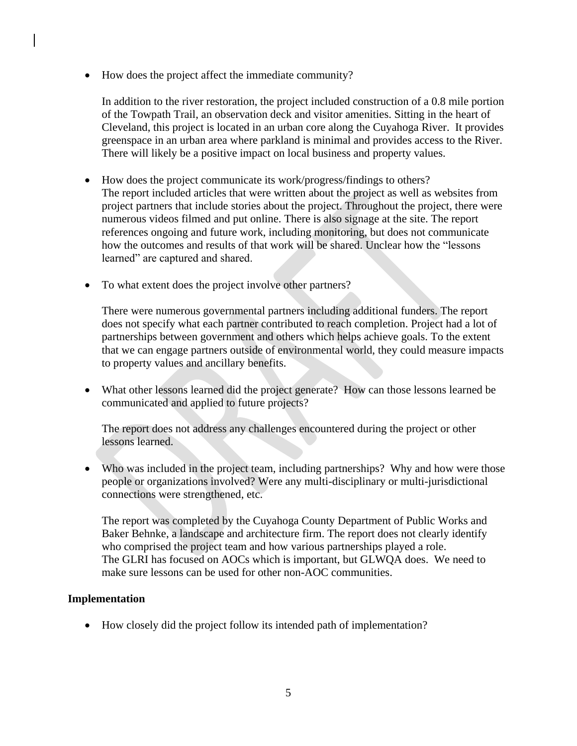• How does the project affect the immediate community?

In addition to the river restoration, the project included construction of a 0.8 mile portion of the Towpath Trail, an observation deck and visitor amenities. Sitting in the heart of Cleveland, this project is located in an urban core along the Cuyahoga River. It provides greenspace in an urban area where parkland is minimal and provides access to the River. There will likely be a positive impact on local business and property values.

- How does the project communicate its work/progress/findings to others? The report included articles that were written about the project as well as websites from project partners that include stories about the project. Throughout the project, there were numerous videos filmed and put online. There is also signage at the site. The report references ongoing and future work, including monitoring, but does not communicate how the outcomes and results of that work will be shared. Unclear how the "lessons learned" are captured and shared.
- To what extent does the project involve other partners?

There were numerous governmental partners including additional funders. The report does not specify what each partner contributed to reach completion. Project had a lot of partnerships between government and others which helps achieve goals. To the extent that we can engage partners outside of environmental world, they could measure impacts to property values and ancillary benefits.

 What other lessons learned did the project generate? How can those lessons learned be communicated and applied to future projects?

The report does not address any challenges encountered during the project or other lessons learned.

 Who was included in the project team, including partnerships? Why and how were those people or organizations involved? Were any multi-disciplinary or multi-jurisdictional connections were strengthened, etc.

The report was completed by the Cuyahoga County Department of Public Works and Baker Behnke, a landscape and architecture firm. The report does not clearly identify who comprised the project team and how various partnerships played a role. The GLRI has focused on AOCs which is important, but GLWQA does. We need to make sure lessons can be used for other non-AOC communities.

#### **Implementation**

How closely did the project follow its intended path of implementation?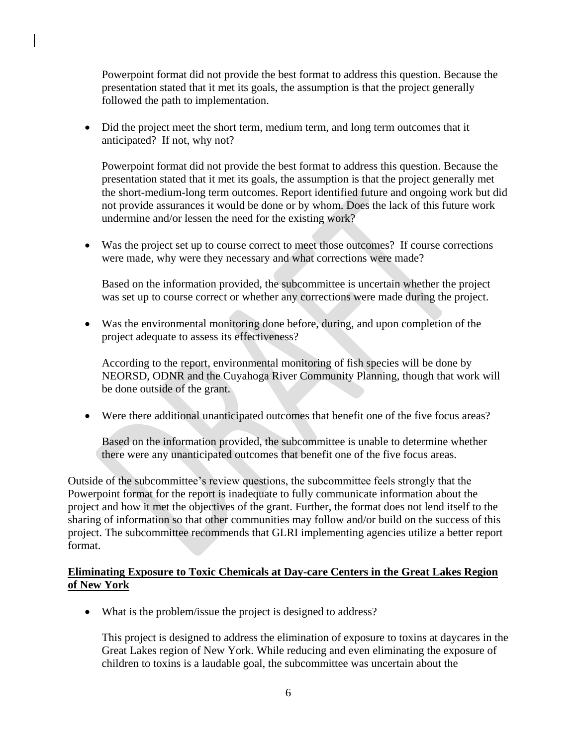Powerpoint format did not provide the best format to address this question. Because the presentation stated that it met its goals, the assumption is that the project generally followed the path to implementation.

• Did the project meet the short term, medium term, and long term outcomes that it anticipated? If not, why not?

Powerpoint format did not provide the best format to address this question. Because the presentation stated that it met its goals, the assumption is that the project generally met the short-medium-long term outcomes. Report identified future and ongoing work but did not provide assurances it would be done or by whom. Does the lack of this future work undermine and/or lessen the need for the existing work?

 Was the project set up to course correct to meet those outcomes? If course corrections were made, why were they necessary and what corrections were made?

Based on the information provided, the subcommittee is uncertain whether the project was set up to course correct or whether any corrections were made during the project.

 Was the environmental monitoring done before, during, and upon completion of the project adequate to assess its effectiveness?

According to the report, environmental monitoring of fish species will be done by NEORSD, ODNR and the Cuyahoga River Community Planning, though that work will be done outside of the grant.

Were there additional unanticipated outcomes that benefit one of the five focus areas?

Based on the information provided, the subcommittee is unable to determine whether there were any unanticipated outcomes that benefit one of the five focus areas.

Outside of the subcommittee's review questions, the subcommittee feels strongly that the Powerpoint format for the report is inadequate to fully communicate information about the project and how it met the objectives of the grant. Further, the format does not lend itself to the sharing of information so that other communities may follow and/or build on the success of this project. The subcommittee recommends that GLRI implementing agencies utilize a better report format.

## **Eliminating Exposure to Toxic Chemicals at Day-care Centers in the Great Lakes Region of New York**

• What is the problem/issue the project is designed to address?

This project is designed to address the elimination of exposure to toxins at daycares in the Great Lakes region of New York. While reducing and even eliminating the exposure of children to toxins is a laudable goal, the subcommittee was uncertain about the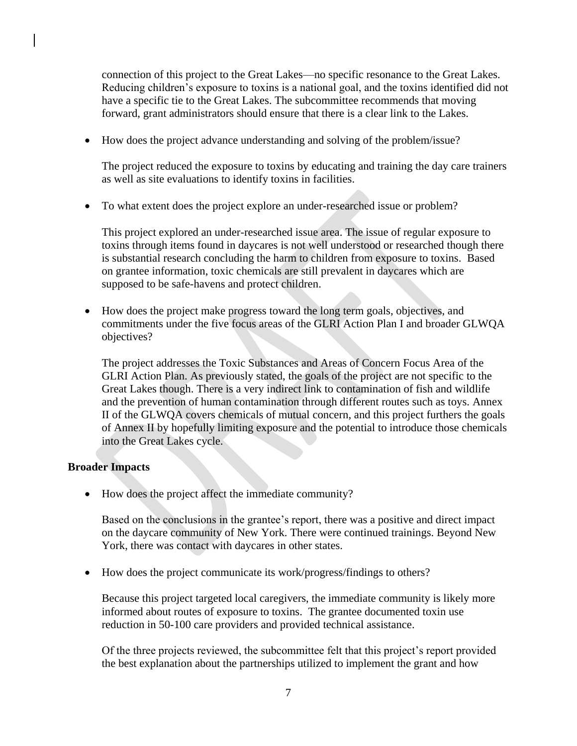connection of this project to the Great Lakes—no specific resonance to the Great Lakes. Reducing children's exposure to toxins is a national goal, and the toxins identified did not have a specific tie to the Great Lakes. The subcommittee recommends that moving forward, grant administrators should ensure that there is a clear link to the Lakes.

How does the project advance understanding and solving of the problem/issue?

The project reduced the exposure to toxins by educating and training the day care trainers as well as site evaluations to identify toxins in facilities.

To what extent does the project explore an under-researched issue or problem?

This project explored an under-researched issue area. The issue of regular exposure to toxins through items found in daycares is not well understood or researched though there is substantial research concluding the harm to children from exposure to toxins. Based on grantee information, toxic chemicals are still prevalent in daycares which are supposed to be safe-havens and protect children.

 How does the project make progress toward the long term goals, objectives, and commitments under the five focus areas of the GLRI Action Plan I and broader GLWQA objectives?

The project addresses the Toxic Substances and Areas of Concern Focus Area of the GLRI Action Plan. As previously stated, the goals of the project are not specific to the Great Lakes though. There is a very indirect link to contamination of fish and wildlife and the prevention of human contamination through different routes such as toys. Annex II of the GLWQA covers chemicals of mutual concern, and this project furthers the goals of Annex II by hopefully limiting exposure and the potential to introduce those chemicals into the Great Lakes cycle.

#### **Broader Impacts**

• How does the project affect the immediate community?

Based on the conclusions in the grantee's report, there was a positive and direct impact on the daycare community of New York. There were continued trainings. Beyond New York, there was contact with daycares in other states.

How does the project communicate its work/progress/findings to others?

Because this project targeted local caregivers, the immediate community is likely more informed about routes of exposure to toxins. The grantee documented toxin use reduction in 50-100 care providers and provided technical assistance.

Of the three projects reviewed, the subcommittee felt that this project's report provided the best explanation about the partnerships utilized to implement the grant and how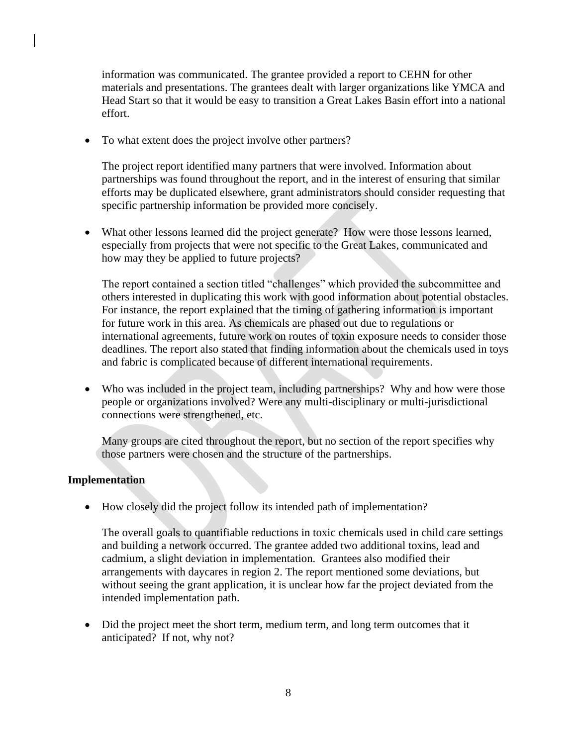information was communicated. The grantee provided a report to CEHN for other materials and presentations. The grantees dealt with larger organizations like YMCA and Head Start so that it would be easy to transition a Great Lakes Basin effort into a national effort.

• To what extent does the project involve other partners?

The project report identified many partners that were involved. Information about partnerships was found throughout the report, and in the interest of ensuring that similar efforts may be duplicated elsewhere, grant administrators should consider requesting that specific partnership information be provided more concisely.

 What other lessons learned did the project generate? How were those lessons learned, especially from projects that were not specific to the Great Lakes, communicated and how may they be applied to future projects?

The report contained a section titled "challenges" which provided the subcommittee and others interested in duplicating this work with good information about potential obstacles. For instance, the report explained that the timing of gathering information is important for future work in this area. As chemicals are phased out due to regulations or international agreements, future work on routes of toxin exposure needs to consider those deadlines. The report also stated that finding information about the chemicals used in toys and fabric is complicated because of different international requirements.

• Who was included in the project team, including partnerships? Why and how were those people or organizations involved? Were any multi-disciplinary or multi-jurisdictional connections were strengthened, etc.

Many groups are cited throughout the report, but no section of the report specifies why those partners were chosen and the structure of the partnerships.

#### **Implementation**

How closely did the project follow its intended path of implementation?

The overall goals to quantifiable reductions in toxic chemicals used in child care settings and building a network occurred. The grantee added two additional toxins, lead and cadmium, a slight deviation in implementation. Grantees also modified their arrangements with daycares in region 2. The report mentioned some deviations, but without seeing the grant application, it is unclear how far the project deviated from the intended implementation path.

• Did the project meet the short term, medium term, and long term outcomes that it anticipated? If not, why not?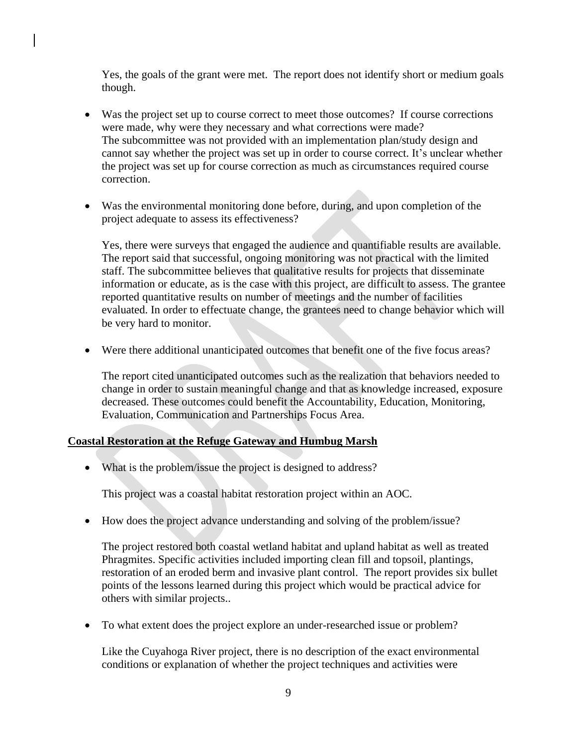Yes, the goals of the grant were met. The report does not identify short or medium goals though.

- Was the project set up to course correct to meet those outcomes? If course corrections were made, why were they necessary and what corrections were made? The subcommittee was not provided with an implementation plan/study design and cannot say whether the project was set up in order to course correct. It's unclear whether the project was set up for course correction as much as circumstances required course correction.
- Was the environmental monitoring done before, during, and upon completion of the project adequate to assess its effectiveness?

Yes, there were surveys that engaged the audience and quantifiable results are available. The report said that successful, ongoing monitoring was not practical with the limited staff. The subcommittee believes that qualitative results for projects that disseminate information or educate, as is the case with this project, are difficult to assess. The grantee reported quantitative results on number of meetings and the number of facilities evaluated. In order to effectuate change, the grantees need to change behavior which will be very hard to monitor.

Were there additional unanticipated outcomes that benefit one of the five focus areas?

The report cited unanticipated outcomes such as the realization that behaviors needed to change in order to sustain meaningful change and that as knowledge increased, exposure decreased. These outcomes could benefit the Accountability, Education, Monitoring, Evaluation, Communication and Partnerships Focus Area.

#### **Coastal Restoration at the Refuge Gateway and Humbug Marsh**

• What is the problem/issue the project is designed to address?

This project was a coastal habitat restoration project within an AOC.

• How does the project advance understanding and solving of the problem/issue?

The project restored both coastal wetland habitat and upland habitat as well as treated Phragmites. Specific activities included importing clean fill and topsoil, plantings, restoration of an eroded berm and invasive plant control. The report provides six bullet points of the lessons learned during this project which would be practical advice for others with similar projects..

To what extent does the project explore an under-researched issue or problem?

Like the Cuyahoga River project, there is no description of the exact environmental conditions or explanation of whether the project techniques and activities were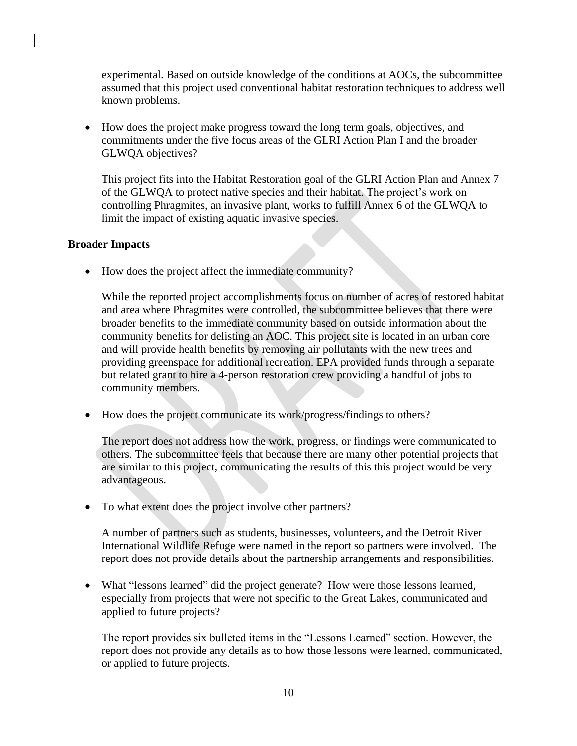experimental. Based on outside knowledge of the conditions at AOCs, the subcommittee assumed that this project used conventional habitat restoration techniques to address well known problems.

 How does the project make progress toward the long term goals, objectives, and commitments under the five focus areas of the GLRI Action Plan I and the broader GLWQA objectives?

This project fits into the Habitat Restoration goal of the GLRI Action Plan and Annex 7 of the GLWQA to protect native species and their habitat. The project's work on controlling Phragmites, an invasive plant, works to fulfill Annex 6 of the GLWQA to limit the impact of existing aquatic invasive species.

#### **Broader Impacts**

• How does the project affect the immediate community?

While the reported project accomplishments focus on number of acres of restored habitat and area where Phragmites were controlled, the subcommittee believes that there were broader benefits to the immediate community based on outside information about the community benefits for delisting an AOC. This project site is located in an urban core and will provide health benefits by removing air pollutants with the new trees and providing greenspace for additional recreation. EPA provided funds through a separate but related grant to hire a 4-person restoration crew providing a handful of jobs to community members.

• How does the project communicate its work/progress/findings to others?

The report does not address how the work, progress, or findings were communicated to others. The subcommittee feels that because there are many other potential projects that are similar to this project, communicating the results of this this project would be very advantageous.

• To what extent does the project involve other partners?

A number of partners such as students, businesses, volunteers, and the Detroit River International Wildlife Refuge were named in the report so partners were involved. The report does not provide details about the partnership arrangements and responsibilities.

 What "lessons learned" did the project generate? How were those lessons learned, especially from projects that were not specific to the Great Lakes, communicated and applied to future projects?

The report provides six bulleted items in the "Lessons Learned" section. However, the report does not provide any details as to how those lessons were learned, communicated, or applied to future projects.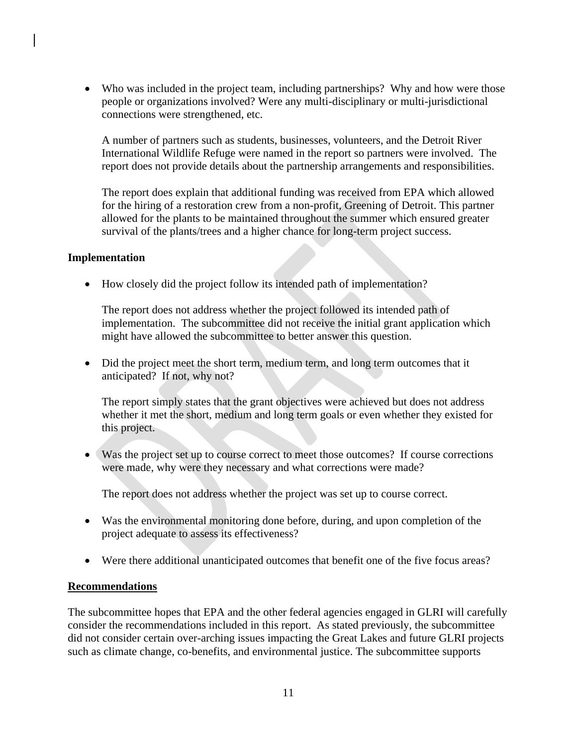• Who was included in the project team, including partnerships? Why and how were those people or organizations involved? Were any multi-disciplinary or multi-jurisdictional connections were strengthened, etc.

A number of partners such as students, businesses, volunteers, and the Detroit River International Wildlife Refuge were named in the report so partners were involved. The report does not provide details about the partnership arrangements and responsibilities.

The report does explain that additional funding was received from EPA which allowed for the hiring of a restoration crew from a non-profit, Greening of Detroit. This partner allowed for the plants to be maintained throughout the summer which ensured greater survival of the plants/trees and a higher chance for long-term project success.

#### **Implementation**

How closely did the project follow its intended path of implementation?

The report does not address whether the project followed its intended path of implementation. The subcommittee did not receive the initial grant application which might have allowed the subcommittee to better answer this question.

• Did the project meet the short term, medium term, and long term outcomes that it anticipated? If not, why not?

The report simply states that the grant objectives were achieved but does not address whether it met the short, medium and long term goals or even whether they existed for this project.

 Was the project set up to course correct to meet those outcomes? If course corrections were made, why were they necessary and what corrections were made?

The report does not address whether the project was set up to course correct.

- Was the environmental monitoring done before, during, and upon completion of the project adequate to assess its effectiveness?
- Were there additional unanticipated outcomes that benefit one of the five focus areas?

#### **Recommendations**

The subcommittee hopes that EPA and the other federal agencies engaged in GLRI will carefully consider the recommendations included in this report. As stated previously, the subcommittee did not consider certain over-arching issues impacting the Great Lakes and future GLRI projects such as climate change, co-benefits, and environmental justice. The subcommittee supports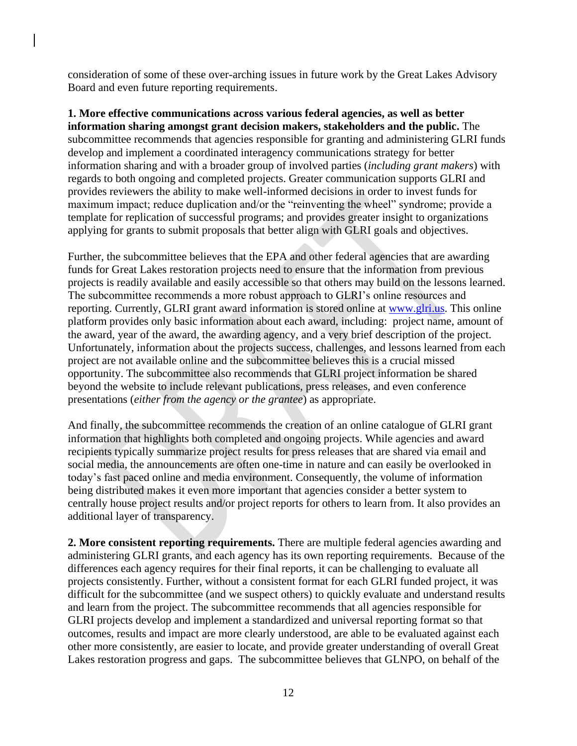consideration of some of these over-arching issues in future work by the Great Lakes Advisory Board and even future reporting requirements.

**1. More effective communications across various federal agencies, as well as better information sharing amongst grant decision makers, stakeholders and the public.** The subcommittee recommends that agencies responsible for granting and administering GLRI funds develop and implement a coordinated interagency communications strategy for better information sharing and with a broader group of involved parties (*including grant makers*) with regards to both ongoing and completed projects. Greater communication supports GLRI and provides reviewers the ability to make well-informed decisions in order to invest funds for maximum impact; reduce duplication and/or the "reinventing the wheel" syndrome; provide a template for replication of successful programs; and provides greater insight to organizations applying for grants to submit proposals that better align with GLRI goals and objectives.

Further, the subcommittee believes that the EPA and other federal agencies that are awarding funds for Great Lakes restoration projects need to ensure that the information from previous projects is readily available and easily accessible so that others may build on the lessons learned. The subcommittee recommends a more robust approach to GLRI's online resources and reporting. Currently, GLRI grant award information is stored online at [www.glri.us.](http://www.glri.us/) This online platform provides only basic information about each award, including: project name, amount of the award, year of the award, the awarding agency, and a very brief description of the project. Unfortunately, information about the projects success, challenges, and lessons learned from each project are not available online and the subcommittee believes this is a crucial missed opportunity. The subcommittee also recommends that GLRI project information be shared beyond the website to include relevant publications, press releases, and even conference presentations (*either from the agency or the grantee*) as appropriate.

And finally, the subcommittee recommends the creation of an online catalogue of GLRI grant information that highlights both completed and ongoing projects. While agencies and award recipients typically summarize project results for press releases that are shared via email and social media, the announcements are often one-time in nature and can easily be overlooked in today's fast paced online and media environment. Consequently, the volume of information being distributed makes it even more important that agencies consider a better system to centrally house project results and/or project reports for others to learn from. It also provides an additional layer of transparency.

**2. More consistent reporting requirements.** There are multiple federal agencies awarding and administering GLRI grants, and each agency has its own reporting requirements. Because of the differences each agency requires for their final reports, it can be challenging to evaluate all projects consistently. Further, without a consistent format for each GLRI funded project, it was difficult for the subcommittee (and we suspect others) to quickly evaluate and understand results and learn from the project. The subcommittee recommends that all agencies responsible for GLRI projects develop and implement a standardized and universal reporting format so that outcomes, results and impact are more clearly understood, are able to be evaluated against each other more consistently, are easier to locate, and provide greater understanding of overall Great Lakes restoration progress and gaps. The subcommittee believes that GLNPO, on behalf of the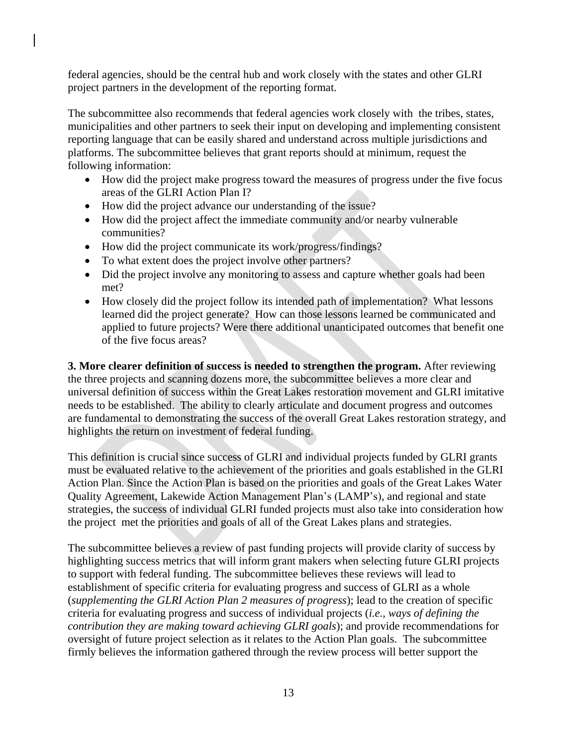federal agencies, should be the central hub and work closely with the states and other GLRI project partners in the development of the reporting format.

The subcommittee also recommends that federal agencies work closely with the tribes, states, municipalities and other partners to seek their input on developing and implementing consistent reporting language that can be easily shared and understand across multiple jurisdictions and platforms. The subcommittee believes that grant reports should at minimum, request the following information:

- How did the project make progress toward the measures of progress under the five focus areas of the GLRI Action Plan I?
- How did the project advance our understanding of the issue?
- How did the project affect the immediate community and/or nearby vulnerable communities?
- How did the project communicate its work/progress/findings?
- To what extent does the project involve other partners?
- Did the project involve any monitoring to assess and capture whether goals had been met?
- How closely did the project follow its intended path of implementation? What lessons learned did the project generate? How can those lessons learned be communicated and applied to future projects? Were there additional unanticipated outcomes that benefit one of the five focus areas?

**3. More clearer definition of success is needed to strengthen the program.** After reviewing the three projects and scanning dozens more, the subcommittee believes a more clear and universal definition of success within the Great Lakes restoration movement and GLRI imitative needs to be established. The ability to clearly articulate and document progress and outcomes are fundamental to demonstrating the success of the overall Great Lakes restoration strategy, and highlights the return on investment of federal funding.

This definition is crucial since success of GLRI and individual projects funded by GLRI grants must be evaluated relative to the achievement of the priorities and goals established in the GLRI Action Plan. Since the Action Plan is based on the priorities and goals of the Great Lakes Water Quality Agreement, Lakewide Action Management Plan's (LAMP's), and regional and state strategies, the success of individual GLRI funded projects must also take into consideration how the project met the priorities and goals of all of the Great Lakes plans and strategies.

The subcommittee believes a review of past funding projects will provide clarity of success by highlighting success metrics that will inform grant makers when selecting future GLRI projects to support with federal funding. The subcommittee believes these reviews will lead to establishment of specific criteria for evaluating progress and success of GLRI as a whole (*supplementing the GLRI Action Plan 2 measures of progress*); lead to the creation of specific criteria for evaluating progress and success of individual projects (*i.e., ways of defining the contribution they are making toward achieving GLRI goals*); and provide recommendations for oversight of future project selection as it relates to the Action Plan goals. The subcommittee firmly believes the information gathered through the review process will better support the